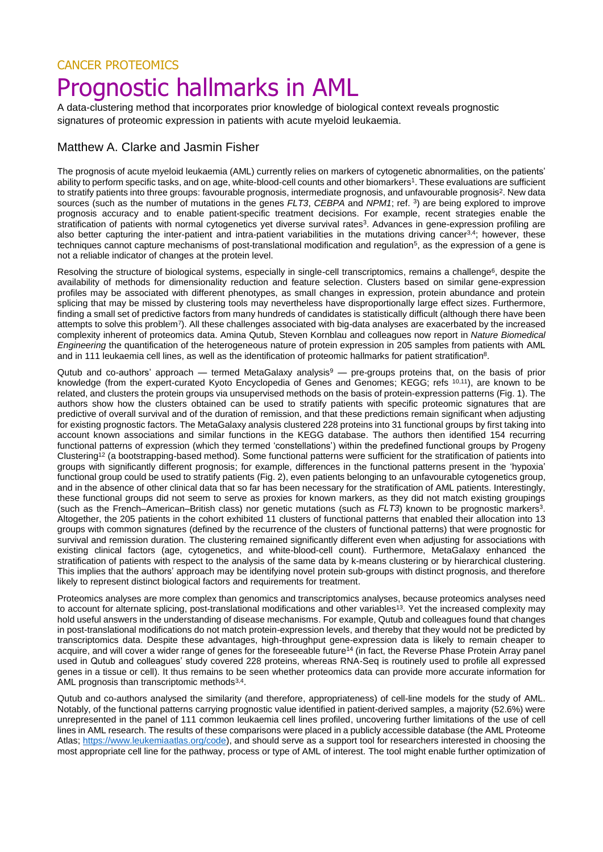## CANCER PROTEOMICS Prognostic hallmarks in AML

A data-clustering method that incorporates prior knowledge of biological context reveals prognostic signatures of proteomic expression in patients with acute myeloid leukaemia.

## Matthew A. Clarke and Jasmin Fisher

The prognosis of acute myeloid leukaemia (AML) currently relies on markers of cytogenetic abnormalities, on the patients' ability to perform specific tasks, and on age, white-blood-cell counts and other biomarkers<sup>1</sup>. These evaluations are sufficient to stratify patients into three groups: favourable prognosis, intermediate prognosis, and unfavourable prognosis<sup>2</sup>. New data sources (such as the number of mutations in the genes *FLT3*, *CEBPA* and *NPM1*; ref. <sup>3</sup> ) are being explored to improve prognosis accuracy and to enable patient-specific treatment decisions. For example, recent strategies enable the stratification of patients with normal cytogenetics yet diverse survival rates<sup>3</sup>. Advances in gene-expression profiling are also better capturing the inter-patient and intra-patient variabilities in the mutations driving cancer<sup>3,4</sup>; however, these techniques cannot capture mechanisms of post-translational modification and regulation<sup>5</sup>, as the expression of a gene is not a reliable indicator of changes at the protein level.

Resolving the structure of biological systems, especially in single-cell transcriptomics, remains a challenge<sup>6</sup>, despite the availability of methods for dimensionality reduction and feature selection. Clusters based on similar gene-expression profiles may be associated with different phenotypes, as small changes in expression, protein abundance and protein splicing that may be missed by clustering tools may nevertheless have disproportionally large effect sizes. Furthermore, finding a small set of predictive factors from many hundreds of candidates is statistically difficult (although there have been attempts to solve this problem<sup>7</sup>). All these challenges associated with big-data analyses are exacerbated by the increased complexity inherent of proteomics data. Amina Qutub, Steven Kornblau and colleagues now report in *Nature Biomedical Engineering* the quantification of the heterogeneous nature of protein expression in 205 samples from patients with AML and in 111 leukaemia cell lines, as well as the identification of proteomic hallmarks for patient stratification<sup>8</sup>.

Qutub and co-authors' approach — termed MetaGalaxy analysis<sup>9</sup> — pre-groups proteins that, on the basis of prior knowledge (from the expert-curated Kyoto Encyclopedia of Genes and Genomes; KEGG; refs <sup>10,11</sup>), are known to be related, and clusters the protein groups via unsupervised methods on the basis of protein-expression patterns (Fig. 1). The authors show how the clusters obtained can be used to stratify patients with specific proteomic signatures that are predictive of overall survival and of the duration of remission, and that these predictions remain significant when adjusting for existing prognostic factors. The MetaGalaxy analysis clustered 228 proteins into 31 functional groups by first taking into account known associations and similar functions in the KEGG database. The authors then identified 154 recurring functional patterns of expression (which they termed 'constellations') within the predefined functional groups by Progeny Clustering<sup>12</sup> (a bootstrapping-based method). Some functional patterns were sufficient for the stratification of patients into groups with significantly different prognosis; for example, differences in the functional patterns present in the 'hypoxia' functional group could be used to stratify patients (Fig. 2), even patients belonging to an unfavourable cytogenetics group, and in the absence of other clinical data that so far has been necessary for the stratification of AML patients. Interestingly, these functional groups did not seem to serve as proxies for known markers, as they did not match existing groupings (such as the French–American–British class) nor genetic mutations (such as *FLT3*) known to be prognostic markers<sup>3</sup> . Altogether, the 205 patients in the cohort exhibited 11 clusters of functional patterns that enabled their allocation into 13 groups with common signatures (defined by the recurrence of the clusters of functional patterns) that were prognostic for survival and remission duration. The clustering remained significantly different even when adjusting for associations with existing clinical factors (age, cytogenetics, and white-blood-cell count). Furthermore, MetaGalaxy enhanced the stratification of patients with respect to the analysis of the same data by k-means clustering or by hierarchical clustering. This implies that the authors' approach may be identifying novel protein sub-groups with distinct prognosis, and therefore likely to represent distinct biological factors and requirements for treatment.

Proteomics analyses are more complex than genomics and transcriptomics analyses, because proteomics analyses need to account for alternate splicing, post-translational modifications and other variables<sup>13</sup>. Yet the increased complexity may hold useful answers in the understanding of disease mechanisms. For example, Qutub and colleagues found that changes in post-translational modifications do not match protein-expression levels, and thereby that they would not be predicted by transcriptomics data. Despite these advantages, high-throughput gene-expression data is likely to remain cheaper to acquire, and will cover a wider range of genes for the foreseeable future<sup>14</sup> (in fact, the Reverse Phase Protein Array panel used in Qutub and colleagues' study covered 228 proteins, whereas RNA-Seq is routinely used to profile all expressed genes in a tissue or cell). It thus remains to be seen whether proteomics data can provide more accurate information for AML prognosis than transcriptomic methods<sup>3,4</sup>.

Qutub and co-authors analysed the similarity (and therefore, appropriateness) of cell-line models for the study of AML. Notably, of the functional patterns carrying prognostic value identified in patient-derived samples, a majority (52.6%) were unrepresented in the panel of 111 common leukaemia cell lines profiled, uncovering further limitations of the use of cell lines in AML research. The results of these comparisons were placed in a publicly accessible database (the AML Proteome Atlas; [https://www.leukemiaatlas.org/code\)](https://www.leukemiaatlas.org/code), and should serve as a support tool for researchers interested in choosing the most appropriate cell line for the pathway, process or type of AML of interest. The tool might enable further optimization of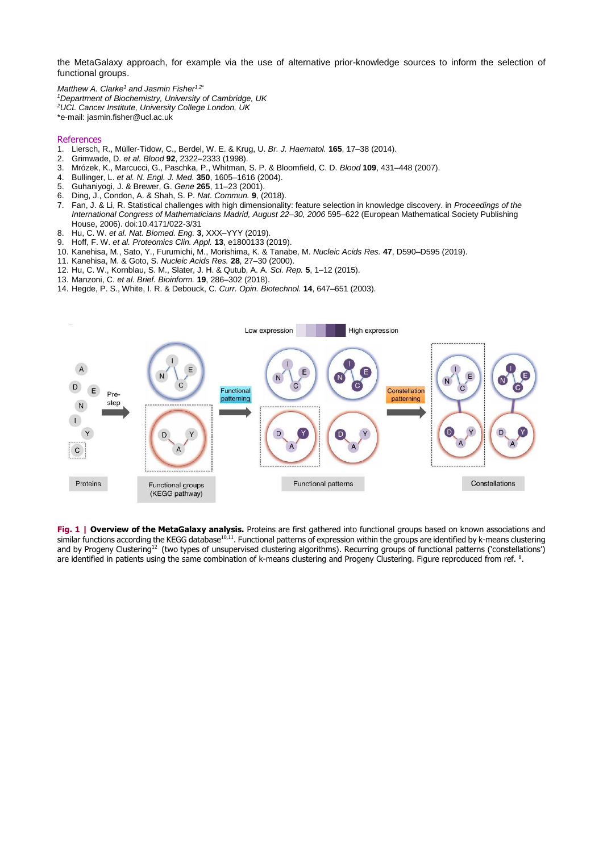the MetaGalaxy approach, for example via the use of alternative prior-knowledge sources to inform the selection of functional groups.

*Matthew A. Clarke<sup>1</sup> and Jasmin Fisher1,2\* <sup>1</sup>Department of Biochemistry, University of Cambridge, UK <sup>2</sup>UCL Cancer Institute, University College London, UK* \*e-mail: [jasmin.fisher@ucl.ac.uk](mailto:jasmin.fisher@ucl.ac.uk)

## References

- 1. Liersch, R., Müller-Tidow, C., Berdel, W. E. & Krug, U. *Br. J. Haematol.* **165**, 17–38 (2014).
- 2. Grimwade, D. *et al. Blood* **92**, 2322–2333 (1998).
- 3. Mrózek, K., Marcucci, G., Paschka, P., Whitman, S. P. & Bloomfield, C. D. *Blood* **109**, 431–448 (2007).
- 4. Bullinger, L. *et al. N. Engl. J. Med.* **350**, 1605–1616 (2004).
- 5. Guhaniyogi, J. & Brewer, G. *Gene* **265**, 11–23 (2001).
- 6. Ding, J., Condon, A. & Shah, S. P. *Nat. Commun.* **9**, (2018).
- 7. Fan, J. & Li, R. Statistical challenges with high dimensionality: feature selection in knowledge discovery. in *Proceedings of the International Congress of Mathematicians Madrid, August 22–30, 2006* 595–622 (European Mathematical Society Publishing House, 2006). doi:10.4171/022-3/31
- 8. Hu, C. W. *et al. Nat. Biomed. Eng.* **3**, XXX–YYY (2019).
- 9. Hoff, F. W. *et al. Proteomics Clin. Appl.* **13**, e1800133 (2019).
- 10. Kanehisa, M., Sato, Y., Furumichi, M., Morishima, K. & Tanabe, M. *Nucleic Acids Res.* **47**, D590–D595 (2019).
- 11. Kanehisa, M. & Goto, S. *Nucleic Acids Res.* **28**, 27–30 (2000).
- 12. Hu, C. W., Kornblau, S. M., Slater, J. H. & Qutub, A. A. *Sci. Rep.* **5**, 1–12 (2015).
- 13. Manzoni, C. *et al. Brief. Bioinform.* **19**, 286–302 (2018).
- 14. Hegde, P. S., White, I. R. & Debouck, C. *Curr. Opin. Biotechnol.* **14**, 647–651 (2003).



**Fig. 1 | Overview of the MetaGalaxy analysis.** Proteins are first gathered into functional groups based on known associations and similar functions according the KEGG database<sup>10,11</sup>. Functional patterns of expression within the groups are identified by k-means clustering and by Progeny Clustering<sup>12</sup> (two types of unsupervised clustering algorithms). Recurring groups of functional patterns ('constellations') are identified in patients using the same combination of k-means clustering and Progeny Clustering. Figure reproduced from ref. <sup>8</sup>.